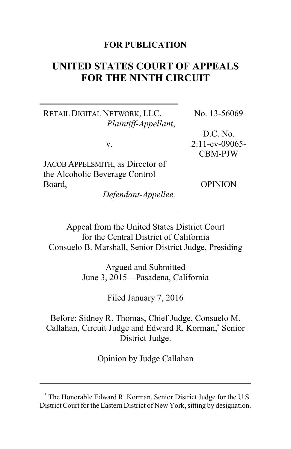## **FOR PUBLICATION**

# **UNITED STATES COURT OF APPEALS FOR THE NINTH CIRCUIT**

RETAIL DIGITAL NETWORK, LLC, *Plaintiff-Appellant*,

v.

JACOB APPELSMITH, as Director of the Alcoholic Beverage Control Board,

*Defendant-Appellee*.

No. 13-56069

D.C. No. 2:11-cv-09065- CBM-PJW

OPINION

Appeal from the United States District Court for the Central District of California Consuelo B. Marshall, Senior District Judge, Presiding

> Argued and Submitted June 3, 2015—Pasadena, California

> > Filed January 7, 2016

Before: Sidney R. Thomas, Chief Judge, Consuelo M. Callahan, Circuit Judge and Edward R. Korman,**\*** Senior District Judge.

Opinion by Judge Callahan

**<sup>\*</sup>** The Honorable Edward R. Korman, Senior District Judge for the U.S. District Court for the Eastern District of New York, sitting by designation.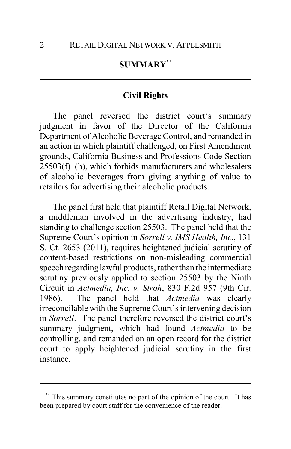## **SUMMARY\*\***

#### **Civil Rights**

The panel reversed the district court's summary judgment in favor of the Director of the California Department of Alcoholic Beverage Control, and remanded in an action in which plaintiff challenged, on First Amendment grounds, California Business and Professions Code Section 25503(f)–(h), which forbids manufacturers and wholesalers of alcoholic beverages from giving anything of value to retailers for advertising their alcoholic products.

The panel first held that plaintiff Retail Digital Network, a middleman involved in the advertising industry, had standing to challenge section 25503. The panel held that the Supreme Court's opinion in *Sorrell v. IMS Health, Inc.*, 131 S. Ct. 2653 (2011), requires heightened judicial scrutiny of content-based restrictions on non-misleading commercial speech regarding lawful products, rather than the intermediate scrutiny previously applied to section 25503 by the Ninth Circuit in *Actmedia, Inc. v. Stroh*, 830 F.2d 957 (9th Cir. 1986). The panel held that *Actmedia* was clearly irreconcilable with the Supreme Court's intervening decision in *Sorrell*. The panel therefore reversed the district court's summary judgment, which had found *Actmedia* to be controlling, and remanded on an open record for the district court to apply heightened judicial scrutiny in the first instance.

This summary constitutes no part of the opinion of the court. It has been prepared by court staff for the convenience of the reader.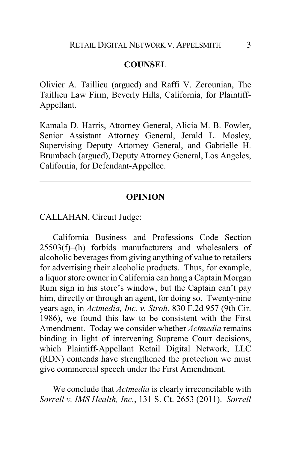# **COUNSEL**

Olivier A. Taillieu (argued) and Raffi V. Zerounian, The Taillieu Law Firm, Beverly Hills, California, for Plaintiff-Appellant.

Kamala D. Harris, Attorney General, Alicia M. B. Fowler, Senior Assistant Attorney General, Jerald L. Mosley, Supervising Deputy Attorney General, and Gabrielle H. Brumbach (argued), Deputy Attorney General, Los Angeles, California, for Defendant-Appellee.

## **OPINION**

CALLAHAN, Circuit Judge:

California Business and Professions Code Section 25503(f)–(h) forbids manufacturers and wholesalers of alcoholic beverages from giving anything of value to retailers for advertising their alcoholic products. Thus, for example, a liquor store owner in California can hang a Captain Morgan Rum sign in his store's window, but the Captain can't pay him, directly or through an agent, for doing so. Twenty-nine years ago, in *Actmedia, Inc. v. Stroh*, 830 F.2d 957 (9th Cir. 1986), we found this law to be consistent with the First Amendment. Today we consider whether *Actmedia* remains binding in light of intervening Supreme Court decisions, which Plaintiff-Appellant Retail Digital Network, LLC (RDN) contends have strengthened the protection we must give commercial speech under the First Amendment.

We conclude that *Actmedia* is clearly irreconcilable with *Sorrell v. IMS Health, Inc.*, 131 S. Ct. 2653 (2011). *Sorrell*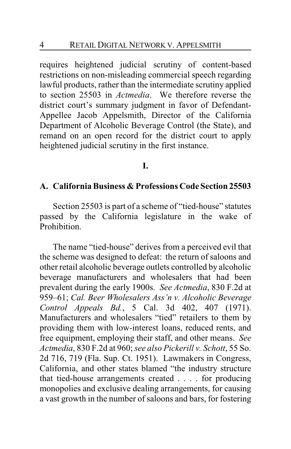requires heightened judicial scrutiny of content-based restrictions on non-misleading commercial speech regarding lawful products, rather than the intermediate scrutiny applied to section 25503 in *Actmedia*. We therefore reverse the district court's summary judgment in favor of Defendant-Appellee Jacob Appelsmith, Director of the California Department of Alcoholic Beverage Control (the State), and remand on an open record for the district court to apply heightened judicial scrutiny in the first instance.

## **I.**

#### **A. California Business & Professions Code Section 25503**

Section 25503 is part of a scheme of "tied-house" statutes passed by the California legislature in the wake of Prohibition.

The name "tied-house" derives from a perceived evil that the scheme was designed to defeat: the return of saloons and other retail alcoholic beverage outlets controlled by alcoholic beverage manufacturers and wholesalers that had been prevalent during the early 1900s. *See Actmedia*, 830 F.2d at 959–61; *Cal. Beer Wholesalers Ass'n v. Alcoholic Beverage Control Appeals Bd.*, 5 Cal. 3d 402, 407 (1971). Manufacturers and wholesalers "tied" retailers to them by providing them with low-interest loans, reduced rents, and free equipment, employing their staff, and other means. *See Actmedia*, 830 F.2d at 960; *see also Pickerill v. Schott*, 55 So. 2d 716, 719 (Fla. Sup. Ct. 1951). Lawmakers in Congress, California, and other states blamed "the industry structure that tied-house arrangements created . . . . for producing monopolies and exclusive dealing arrangements, for causing a vast growth in the number of saloons and bars, for fostering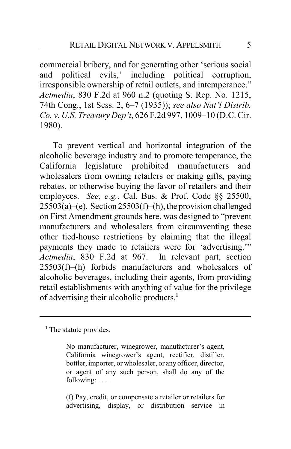commercial bribery, and for generating other 'serious social and political evils,' including political corruption, irresponsible ownership of retail outlets, and intemperance." *Actmedia*, 830 F.2d at 960 n.2 (quoting S. Rep. No. 1215, 74th Cong., 1st Sess. 2, 6–7 (1935)); *see also Nat'l Distrib. Co. v. U.S. Treasury Dep't*, 626 F.2d 997, 1009–10 (D.C. Cir. 1980).

To prevent vertical and horizontal integration of the alcoholic beverage industry and to promote temperance, the California legislature prohibited manufacturers and wholesalers from owning retailers or making gifts, paying rebates, or otherwise buying the favor of retailers and their employees. *See, e.g.*, Cal. Bus. & Prof. Code §§ 25500,  $25503(a)$ –(e). Section  $25503(f)$ –(h), the provision challenged on First Amendment grounds here, was designed to "prevent manufacturers and wholesalers from circumventing these other tied-house restrictions by claiming that the illegal payments they made to retailers were for 'advertising.'" *Actmedia*, 830 F.2d at 967. In relevant part, section 25503(f)–(h) forbids manufacturers and wholesalers of alcoholic beverages, including their agents, from providing retail establishments with anything of value for the privilege of advertising their alcoholic products.**<sup>1</sup>**

(f) Pay, credit, or compensate a retailer or retailers for advertising, display, or distribution service in

<sup>&</sup>lt;sup>1</sup> The statute provides:

No manufacturer, winegrower, manufacturer's agent, California winegrower's agent, rectifier, distiller, bottler, importer, or wholesaler, or any officer, director, or agent of any such person, shall do any of the following: . . . .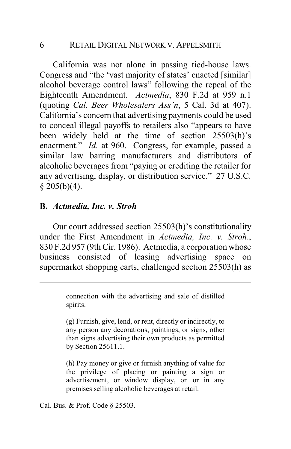California was not alone in passing tied-house laws. Congress and "the 'vast majority of states' enacted [similar] alcohol beverage control laws" following the repeal of the Eighteenth Amendment. *Actmedia*, 830 F.2d at 959 n.1 (quoting *Cal. Beer Wholesalers Ass'n*, 5 Cal. 3d at 407). California's concern that advertising payments could be used to conceal illegal payoffs to retailers also "appears to have been widely held at the time of section 25503(h)'s enactment." *Id.* at 960. Congress, for example, passed a similar law barring manufacturers and distributors of alcoholic beverages from "paying or crediting the retailer for any advertising, display, or distribution service." 27 U.S.C.  $$205(b)(4).$ 

## **B.** *Actmedia, Inc. v. Stroh*

Our court addressed section 25503(h)'s constitutionality under the First Amendment in *Actmedia, Inc. v. Stroh*., 830 F.2d 957 (9th Cir. 1986). Actmedia, a corporation whose business consisted of leasing advertising space on supermarket shopping carts, challenged section 25503(h) as

> connection with the advertising and sale of distilled spirits.

> (g) Furnish, give, lend, or rent, directly or indirectly, to any person any decorations, paintings, or signs, other than signs advertising their own products as permitted by Section 25611.1.

> (h) Pay money or give or furnish anything of value for the privilege of placing or painting a sign or advertisement, or window display, on or in any premises selling alcoholic beverages at retail.

Cal. Bus. & Prof. Code § 25503.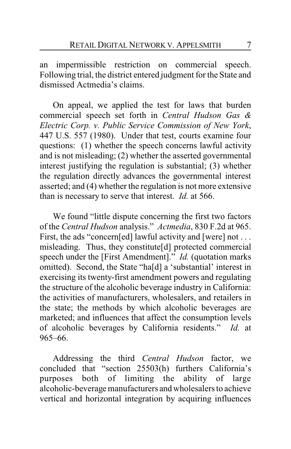an impermissible restriction on commercial speech. Following trial, the district entered judgment for the State and dismissed Actmedia's claims.

On appeal, we applied the test for laws that burden commercial speech set forth in *Central Hudson Gas & Electric Corp. v. Public Service Commission of New York*, 447 U.S. 557 (1980). Under that test, courts examine four questions: (1) whether the speech concerns lawful activity and is not misleading; (2) whether the asserted governmental interest justifying the regulation is substantial; (3) whether the regulation directly advances the governmental interest asserted; and (4) whether the regulation is not more extensive than is necessary to serve that interest. *Id.* at 566.

We found "little dispute concerning the first two factors of the *Central Hudson* analysis." *Actmedia*, 830 F.2d at 965. First, the ads "concern[ed] lawful activity and [were] not ... misleading. Thus, they constitute[d] protected commercial speech under the [First Amendment]." *Id.* (quotation marks omitted). Second, the State "ha[d] a 'substantial' interest in exercising its twenty-first amendment powers and regulating the structure of the alcoholic beverage industry in California: the activities of manufacturers, wholesalers, and retailers in the state; the methods by which alcoholic beverages are marketed; and influences that affect the consumption levels of alcoholic beverages by California residents." *Id.* at 965–66.

Addressing the third *Central Hudson* factor, we concluded that "section 25503(h) furthers California's purposes both of limiting the ability of large alcoholic-beverage manufacturers and wholesalers to achieve vertical and horizontal integration by acquiring influences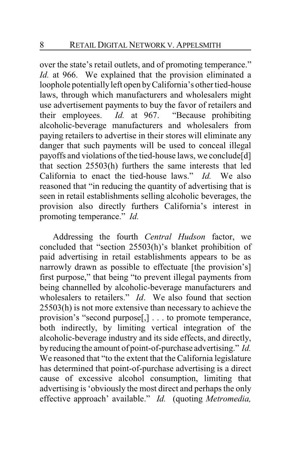over the state's retail outlets, and of promoting temperance." *Id.* at 966. We explained that the provision eliminated a loophole potentiallyleft open byCalifornia's other tied-house laws, through which manufacturers and wholesalers might use advertisement payments to buy the favor of retailers and their employees. *Id.* at 967. "Because prohibiting alcoholic-beverage manufacturers and wholesalers from paying retailers to advertise in their stores will eliminate any danger that such payments will be used to conceal illegal payoffs and violations of the tied-house laws, we conclude[d] that section 25503(h) furthers the same interests that led California to enact the tied-house laws." *Id.* We also reasoned that "in reducing the quantity of advertising that is seen in retail establishments selling alcoholic beverages, the provision also directly furthers California's interest in promoting temperance." *Id.*

Addressing the fourth *Central Hudson* factor, we concluded that "section 25503(h)'s blanket prohibition of paid advertising in retail establishments appears to be as narrowly drawn as possible to effectuate [the provision's] first purpose," that being "to prevent illegal payments from being channelled by alcoholic-beverage manufacturers and wholesalers to retailers." *Id*. We also found that section 25503(h) is not more extensive than necessary to achieve the provision's "second purpose[,] . . . to promote temperance, both indirectly, by limiting vertical integration of the alcoholic-beverage industry and its side effects, and directly, byreducing the amount of point-of-purchase advertising." *Id.*  We reasoned that "to the extent that the California legislature has determined that point-of-purchase advertising is a direct cause of excessive alcohol consumption, limiting that advertising is 'obviously the most direct and perhaps the only effective approach' available." *Id.* (quoting *Metromedia,*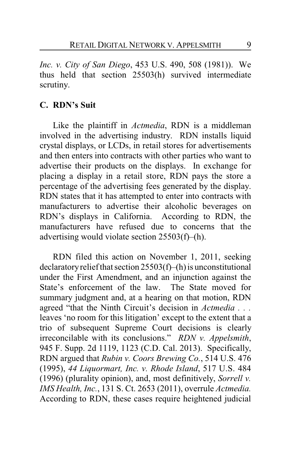*Inc. v. City of San Diego*, 453 U.S. 490, 508 (1981)). We thus held that section 25503(h) survived intermediate scrutiny.

## **C. RDN's Suit**

Like the plaintiff in *Actmedia*, RDN is a middleman involved in the advertising industry. RDN installs liquid crystal displays, or LCDs, in retail stores for advertisements and then enters into contracts with other parties who want to advertise their products on the displays. In exchange for placing a display in a retail store, RDN pays the store a percentage of the advertising fees generated by the display. RDN states that it has attempted to enter into contracts with manufacturers to advertise their alcoholic beverages on RDN's displays in California. According to RDN, the manufacturers have refused due to concerns that the advertising would violate section 25503(f)–(h).

RDN filed this action on November 1, 2011, seeking declaratory relief that section  $25503(f)$ –(h) is unconstitutional under the First Amendment, and an injunction against the State's enforcement of the law. The State moved for summary judgment and, at a hearing on that motion, RDN agreed "that the Ninth Circuit's decision in *Actmedia . . .* leaves 'no room for this litigation' except to the extent that a trio of subsequent Supreme Court decisions is clearly irreconcilable with its conclusions." *RDN v. Appelsmith*, 945 F. Supp. 2d 1119, 1123 (C.D. Cal. 2013). Specifically, RDN argued that *Rubin v. Coors Brewing Co.*, 514 U.S. 476 (1995), *44 Liquormart, Inc. v. Rhode Island*, 517 U.S. 484 (1996) (plurality opinion), and, most definitively, *Sorrell v. IMS Health, Inc.*, 131 S. Ct. 2653 (2011), overrule *Actmedia.*  According to RDN, these cases require heightened judicial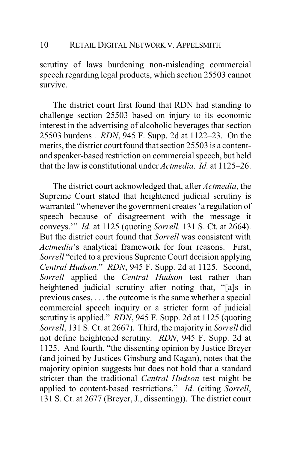scrutiny of laws burdening non-misleading commercial speech regarding legal products, which section 25503 cannot survive.

The district court first found that RDN had standing to challenge section 25503 based on injury to its economic interest in the advertising of alcoholic beverages that section 25503 burdens . *RDN*, 945 F. Supp. 2d at 1122–23. On the merits, the district court found that section 25503 is a contentand speaker-based restriction on commercial speech, but held that the law is constitutional under *Actmedia*. *Id.* at 1125–26.

The district court acknowledged that, after *Actmedia*, the Supreme Court stated that heightened judicial scrutiny is warranted "whenever the government creates 'a regulation of speech because of disagreement with the message it conveys.'" *Id*. at 1125 (quoting *Sorrell,* 131 S. Ct. at 2664). But the district court found that *Sorrell* was consistent with *Actmedia*'s analytical framework for four reasons. First, *Sorrell* "cited to a previous Supreme Court decision applying *Central Hudson.*" *RDN*, 945 F. Supp. 2d at 1125. Second, *Sorrell* applied the *Central Hudson* test rather than heightened judicial scrutiny after noting that, "[a]s in previous cases, . . . the outcome is the same whether a special commercial speech inquiry or a stricter form of judicial scrutiny is applied." *RDN*, 945 F. Supp. 2d at 1125 (quoting *Sorrell*, 131 S. Ct. at 2667). Third, the majority in *Sorrell* did not define heightened scrutiny. *RDN*, 945 F. Supp. 2d at 1125. And fourth, "the dissenting opinion by Justice Breyer (and joined by Justices Ginsburg and Kagan), notes that the majority opinion suggests but does not hold that a standard stricter than the traditional *Central Hudson* test might be applied to content-based restrictions." *Id*. (citing *Sorrell*, 131 S. Ct. at 2677 (Breyer, J., dissenting)). The district court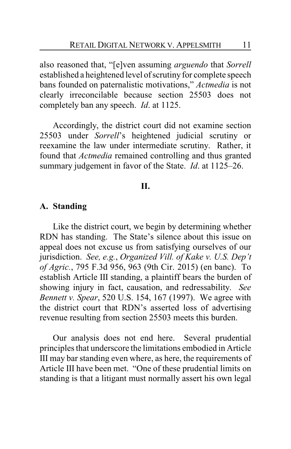also reasoned that, "[e]ven assuming *arguendo* that *Sorrell* established a heightened level of scrutiny for complete speech bans founded on paternalistic motivations," *Actmedia* is not clearly irreconcilable because section 25503 does not completely ban any speech. *Id*. at 1125.

Accordingly, the district court did not examine section 25503 under *Sorrell*'s heightened judicial scrutiny or reexamine the law under intermediate scrutiny. Rather, it found that *Actmedia* remained controlling and thus granted summary judgement in favor of the State. *Id*. at 1125–26.

## **II.**

#### **A. Standing**

Like the district court, we begin by determining whether RDN has standing. The State's silence about this issue on appeal does not excuse us from satisfying ourselves of our jurisdiction. *See, e.g.*, *Organized Vill. of Kake v. U.S. Dep't of Agric.*, 795 F.3d 956, 963 (9th Cir. 2015) (en banc). To establish Article III standing, a plaintiff bears the burden of showing injury in fact, causation, and redressability. *See Bennett v. Spear*, 520 U.S. 154, 167 (1997). We agree with the district court that RDN's asserted loss of advertising revenue resulting from section 25503 meets this burden.

Our analysis does not end here. Several prudential principles that underscore the limitations embodied in Article III may bar standing even where, as here, the requirements of Article III have been met. "One of these prudential limits on standing is that a litigant must normally assert his own legal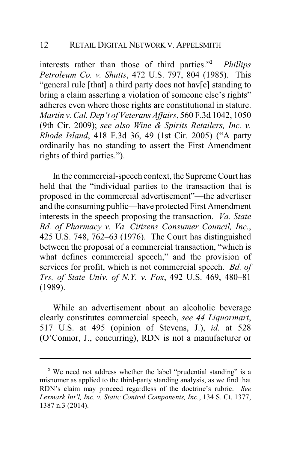interests rather than those of third parties."**<sup>2</sup>** *Phillips Petroleum Co. v. Shutts*, 472 U.S. 797, 804 (1985). This "general rule [that] a third party does not hav[e] standing to bring a claim asserting a violation of someone else's rights" adheres even where those rights are constitutional in stature. *Martin v. Cal. Dep't of Veterans Affairs*, 560 F.3d 1042, 1050 (9th Cir. 2009); *see also Wine & Spirits Retailers, Inc. v. Rhode Island*, 418 F.3d 36, 49 (1st Cir. 2005) ("A party ordinarily has no standing to assert the First Amendment rights of third parties.").

In the commercial-speech context, the Supreme Court has held that the "individual parties to the transaction that is proposed in the commercial advertisement"—the advertiser and the consuming public—have protected First Amendment interests in the speech proposing the transaction. *Va. State Bd. of Pharmacy v. Va. Citizens Consumer Council, Inc.*, 425 U.S. 748, 762–63 (1976). The Court has distinguished between the proposal of a commercial transaction, "which is what defines commercial speech," and the provision of services for profit, which is not commercial speech. *Bd. of Trs. of State Univ. of N.Y. v. Fox*, 492 U.S. 469, 480–81 (1989).

While an advertisement about an alcoholic beverage clearly constitutes commercial speech, *see 44 Liquormart*, 517 U.S. at 495 (opinion of Stevens, J.), *id.* at 528 (O'Connor, J., concurring), RDN is not a manufacturer or

<sup>&</sup>lt;sup>2</sup> We need not address whether the label "prudential standing" is a misnomer as applied to the third-party standing analysis, as we find that RDN's claim may proceed regardless of the doctrine's rubric. *See Lexmark Int'l, Inc. v. Static Control Components, Inc.*, 134 S. Ct. 1377, 1387 n.3 (2014).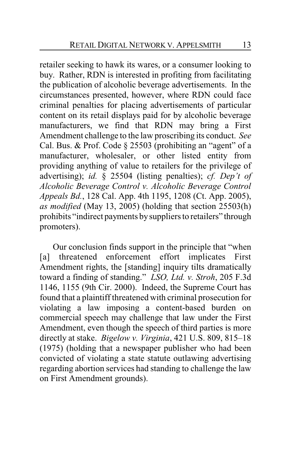retailer seeking to hawk its wares, or a consumer looking to buy. Rather, RDN is interested in profiting from facilitating the publication of alcoholic beverage advertisements. In the circumstances presented, however, where RDN could face criminal penalties for placing advertisements of particular content on its retail displays paid for by alcoholic beverage manufacturers, we find that RDN may bring a First Amendment challenge to the law proscribing its conduct. *See* Cal. Bus. & Prof. Code § 25503 (prohibiting an "agent" of a manufacturer, wholesaler, or other listed entity from providing anything of value to retailers for the privilege of advertising); *id.* § 25504 (listing penalties); *cf. Dep't of Alcoholic Beverage Control v. Alcoholic Beverage Control Appeals Bd.*, 128 Cal. App. 4th 1195, 1208 (Ct. App. 2005), *as modified* (May 13, 2005) (holding that section 25503(h) prohibits "indirect payments bysuppliers to retailers" through promoters).

Our conclusion finds support in the principle that "when [a] threatened enforcement effort implicates First Amendment rights, the [standing] inquiry tilts dramatically toward a finding of standing." *LSO, Ltd. v. Stroh*, 205 F.3d 1146, 1155 (9th Cir. 2000). Indeed, the Supreme Court has found that a plaintiff threatened with criminal prosecution for violating a law imposing a content-based burden on commercial speech may challenge that law under the First Amendment, even though the speech of third parties is more directly at stake. *Bigelow v. Virginia*, 421 U.S. 809, 815–18 (1975) (holding that a newspaper publisher who had been convicted of violating a state statute outlawing advertising regarding abortion services had standing to challenge the law on First Amendment grounds).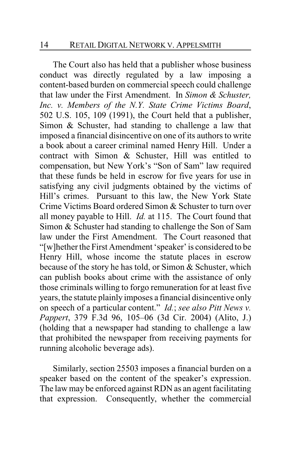The Court also has held that a publisher whose business conduct was directly regulated by a law imposing a content-based burden on commercial speech could challenge that law under the First Amendment. In *Simon & Schuster, Inc. v. Members of the N.Y. State Crime Victims Board*, 502 U.S. 105, 109 (1991), the Court held that a publisher, Simon & Schuster, had standing to challenge a law that imposed a financial disincentive on one of its authors to write a book about a career criminal named Henry Hill. Under a contract with Simon & Schuster, Hill was entitled to compensation, but New York's "Son of Sam" law required that these funds be held in escrow for five years for use in satisfying any civil judgments obtained by the victims of Hill's crimes. Pursuant to this law, the New York State Crime Victims Board ordered Simon & Schuster to turn over all money payable to Hill. *Id.* at 115. The Court found that Simon & Schuster had standing to challenge the Son of Sam law under the First Amendment. The Court reasoned that "[w]hether the First Amendment 'speaker' is considered to be Henry Hill, whose income the statute places in escrow because of the story he has told, or Simon & Schuster, which can publish books about crime with the assistance of only those criminals willing to forgo remuneration for at least five years, the statute plainly imposes a financial disincentive only on speech of a particular content." *Id.*; *see also Pitt News v. Pappert*, 379 F.3d 96, 105–06 (3d Cir. 2004) (Alito, J.) (holding that a newspaper had standing to challenge a law that prohibited the newspaper from receiving payments for running alcoholic beverage ads).

Similarly, section 25503 imposes a financial burden on a speaker based on the content of the speaker's expression. The law may be enforced against RDN as an agent facilitating that expression. Consequently, whether the commercial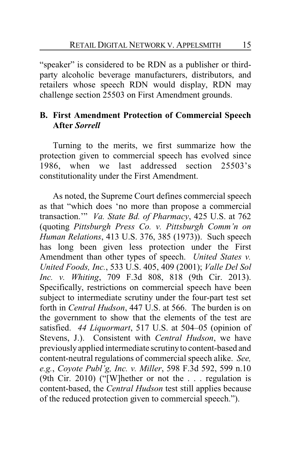"speaker" is considered to be RDN as a publisher or thirdparty alcoholic beverage manufacturers, distributors, and retailers whose speech RDN would display, RDN may challenge section 25503 on First Amendment grounds.

# **B. First Amendment Protection of Commercial Speech After** *Sorrell*

Turning to the merits, we first summarize how the protection given to commercial speech has evolved since 1986, when we last addressed section 25503's constitutionality under the First Amendment.

As noted, the Supreme Court defines commercial speech as that "which does 'no more than propose a commercial transaction.'" *Va. State Bd. of Pharmacy*, 425 U.S. at 762 (quoting *Pittsburgh Press Co. v. Pittsburgh Comm'n on Human Relations*, 413 U.S. 376, 385 (1973)). Such speech has long been given less protection under the First Amendment than other types of speech. *United States v. United Foods, Inc.*, 533 U.S. 405, 409 (2001); *Valle Del Sol Inc. v. Whiting*, 709 F.3d 808, 818 (9th Cir. 2013). Specifically, restrictions on commercial speech have been subject to intermediate scrutiny under the four-part test set forth in *Central Hudson*, 447 U.S. at 566. The burden is on the government to show that the elements of the test are satisfied. *44 Liquormart*, 517 U.S. at 504–05 (opinion of Stevens, J.). Consistent with *Central Hudson*, we have previously applied intermediate scrutinyto content-based and content-neutral regulations of commercial speech alike. *See, e.g.*, *Coyote Publ'g, Inc. v. Miller*, 598 F.3d 592, 599 n.10 (9th Cir. 2010) ("[W]hether or not the . . . regulation is content-based, the *Central Hudson* test still applies because of the reduced protection given to commercial speech.").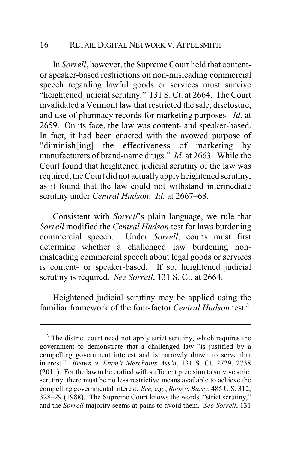In *Sorrell*, however, the Supreme Court held that contentor speaker-based restrictions on non-misleading commercial speech regarding lawful goods or services must survive "heightened judicial scrutiny." 131 S. Ct. at 2664. The Court invalidated a Vermont law that restricted the sale, disclosure, and use of pharmacy records for marketing purposes. *Id*. at 2659. On its face, the law was content- and speaker-based. In fact, it had been enacted with the avowed purpose of "diminish[ing] the effectiveness of marketing by manufacturers of brand-name drugs." *Id.* at 2663. While the Court found that heightened judicial scrutiny of the law was required, the Court did not actually apply heightened scrutiny, as it found that the law could not withstand intermediate scrutiny under *Central Hudson*. *Id.* at 2667–68.

Consistent with *Sorrell*'s plain language, we rule that *Sorrell* modified the *Central Hudson* test for laws burdening commercial speech. Under *Sorrell*, courts must first determine whether a challenged law burdening nonmisleading commercial speech about legal goods or services is content- or speaker-based. If so, heightened judicial scrutiny is required. *See Sorrell*, 131 S. Ct. at 2664.

Heightened judicial scrutiny may be applied using the familiar framework of the four-factor *Central Hudson* test.**<sup>3</sup>**

<sup>&</sup>lt;sup>3</sup> The district court need not apply strict scrutiny, which requires the government to demonstrate that a challenged law "is justified by a compelling government interest and is narrowly drawn to serve that interest." *Brown v. Entm't Merchants Ass'n*, 131 S. Ct. 2729, 2738 (2011). For the law to be crafted with sufficient precision to survive strict scrutiny, there must be no less restrictive means available to achieve the compelling governmental interest. *See, e.g.*, *Boos v. Barry*, 485 U.S. 312, 328–29 (1988). The Supreme Court knows the words, "strict scrutiny," and the *Sorrell* majority seems at pains to avoid them. *See Sorrell*, 131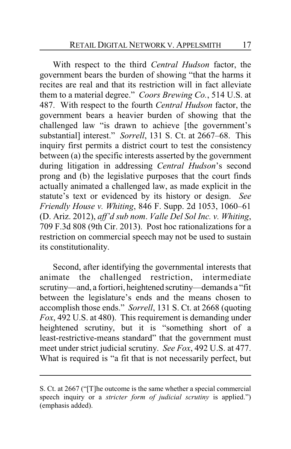With respect to the third *Central Hudson* factor, the government bears the burden of showing "that the harms it recites are real and that its restriction will in fact alleviate them to a material degree." *Coors Brewing Co.*, 514 U.S. at 487. With respect to the fourth *Central Hudson* factor, the government bears a heavier burden of showing that the challenged law "is drawn to achieve [the government's substantial] interest." *Sorrell*, 131 S. Ct. at 2667–68. This inquiry first permits a district court to test the consistency between (a) the specific interests asserted by the government during litigation in addressing *Central Hudson*'s second prong and (b) the legislative purposes that the court finds actually animated a challenged law, as made explicit in the statute's text or evidenced by its history or design. *See Friendly House v. Whiting*, 846 F. Supp. 2d 1053, 1060–61 (D. Ariz. 2012), *aff'd sub nom*. *Valle Del Sol Inc. v. Whiting*, 709 F.3d 808 (9th Cir. 2013). Post hoc rationalizations for a restriction on commercial speech may not be used to sustain its constitutionality.

Second, after identifying the governmental interests that animate the challenged restriction, intermediate scrutiny—and, a fortiori, heightened scrutiny—demands a "fit between the legislature's ends and the means chosen to accomplish those ends." *Sorrell*, 131 S. Ct. at 2668 (quoting *Fox*, 492 U.S. at 480). This requirement is demanding under heightened scrutiny, but it is "something short of a least-restrictive-means standard" that the government must meet under strict judicial scrutiny. *See Fox*, 492 U.S. at 477. What is required is "a fit that is not necessarily perfect, but

S. Ct. at 2667 ("[T]he outcome is the same whether a special commercial speech inquiry or a *stricter form of judicial scrutiny* is applied.") (emphasis added).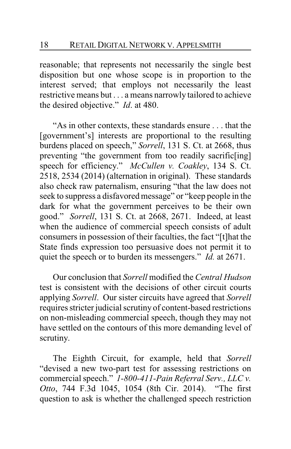reasonable; that represents not necessarily the single best disposition but one whose scope is in proportion to the interest served; that employs not necessarily the least restrictive means but . . . a means narrowly tailored to achieve the desired objective." *Id*. at 480.

"As in other contexts, these standards ensure . . . that the [government's] interests are proportional to the resulting burdens placed on speech," *Sorrell*, 131 S. Ct. at 2668, thus preventing "the government from too readily sacrific[ing] speech for efficiency." *McCullen v. Coakley*, 134 S. Ct. 2518, 2534 (2014) (alternation in original). These standards also check raw paternalism, ensuring "that the law does not seek to suppress a disfavored message" or "keep people in the dark for what the government perceives to be their own good." *Sorrell*, 131 S. Ct. at 2668, 2671. Indeed, at least when the audience of commercial speech consists of adult consumers in possession of their faculties, the fact "[t]hat the State finds expression too persuasive does not permit it to quiet the speech or to burden its messengers." *Id.* at 2671.

Our conclusion that *Sorrell* modified the *Central Hudson* test is consistent with the decisions of other circuit courts applying *Sorrell*. Our sister circuits have agreed that *Sorrell* requires stricter judicial scrutiny of content-based restrictions on non-misleading commercial speech, though they may not have settled on the contours of this more demanding level of scrutiny.

The Eighth Circuit, for example, held that *Sorrell* "devised a new two-part test for assessing restrictions on commercial speech." *1-800-411-Pain Referral Serv., LLC v. Otto*, 744 F.3d 1045, 1054 (8th Cir. 2014). "The first question to ask is whether the challenged speech restriction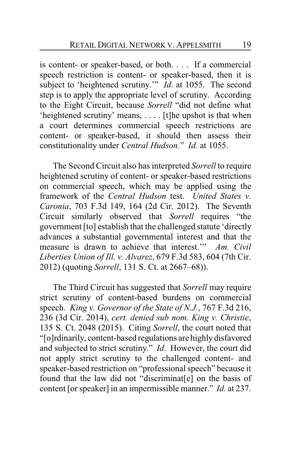is content- or speaker-based, or both. . . . If a commercial speech restriction is content- or speaker-based, then it is subject to 'heightened scrutiny.'" *Id.* at 1055. The second step is to apply the appropriate level of scrutiny. According to the Eight Circuit, because *Sorrell* "did not define what 'heightened scrutiny' means, . . . . [t]he upshot is that when a court determines commercial speech restrictions are content- or speaker-based, it should then assess their constitutionality under *Central Hudson*." *Id.* at 1055.

The Second Circuit also has interpreted *Sorrell* to require heightened scrutiny of content- or speaker-based restrictions on commercial speech, which may be applied using the framework of the *Central Hudson* test. *United States v. Caronia*, 703 F.3d 149, 164 (2d Cir. 2012). The Seventh Circuit similarly observed that *Sorrell* requires "the government [to] establish that the challenged statute 'directly advances a substantial governmental interest and that the measure is drawn to achieve that interest.'" *Am. Civil Liberties Union of Ill. v. Alvarez*, 679 F.3d 583, 604 (7th Cir. 2012) (quoting *Sorrell*, 131 S. Ct. at 2667–68)).

The Third Circuit has suggested that *Sorrell* may require strict scrutiny of content-based burdens on commercial speech. *King v. Governor of the State of N.J.*, 767 F.3d 216, 236 (3d Cir. 2014), *cert. denied sub nom. King v. Christie*, 135 S. Ct. 2048 (2015). Citing *Sorrell*, the court noted that "[o]rdinarily, content-based regulations are highly disfavored and subjected to strict scrutiny." *Id*. However, the court did not apply strict scrutiny to the challenged content- and speaker-based restriction on "professional speech" because it found that the law did not "discriminat[e] on the basis of content [or speaker] in an impermissible manner." *Id.* at 237.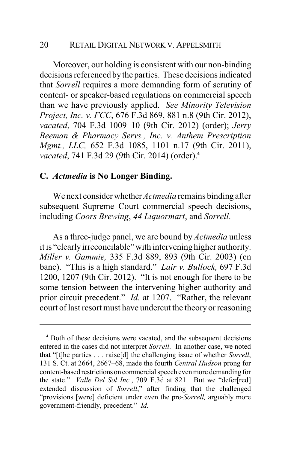Moreover, our holding is consistent with our non-binding decisions referenced by the parties. These decisions indicated that *Sorrell* requires a more demanding form of scrutiny of content- or speaker-based regulations on commercial speech than we have previously applied. *See Minority Television Project, Inc. v. FCC*, 676 F.3d 869, 881 n.8 (9th Cir. 2012), *vacated*, 704 F.3d 1009–10 (9th Cir. 2012) (order); *Jerry Beeman & Pharmacy Servs., Inc. v. Anthem Prescription Mgmt., LLC,* 652 F.3d 1085, 1101 n.17 (9th Cir. 2011), *vacated*, 741 F.3d 29 (9th Cir. 2014) (order).**<sup>4</sup>**

#### **C.** *Actmedia* **is No Longer Binding.**

We next consider whether *Actmedia* remains binding after subsequent Supreme Court commercial speech decisions, including *Coors Brewing*, *44 Liquormart*, and *Sorrell*.

As a three-judge panel, we are bound by *Actmedia* unless it is "clearlyirreconcilable" with intervening higher authority. *Miller v. Gammie,* 335 F.3d 889, 893 (9th Cir. 2003) (en banc). "This is a high standard." *Lair v. Bullock,* 697 F.3d 1200, 1207 (9th Cir. 2012). "It is not enough for there to be some tension between the intervening higher authority and prior circuit precedent." *Id.* at 1207. "Rather, the relevant court of last resort must have undercut the theory or reasoning

**<sup>4</sup>** Both of these decisions were vacated, and the subsequent decisions entered in the cases did not interpret *Sorrell*. In another case, we noted that "[t]he parties . . . raise[d] the challenging issue of whether *Sorrell*, 131 S. Ct. at 2664, 2667–68, made the fourth *Central Hudson* prong for content-based restrictions on commercial speech evenmore demanding for the state." *Valle Del Sol Inc.*, 709 F.3d at 821. But we "defer[red] extended discussion of *Sorrell*," after finding that the challenged "provisions [were] deficient under even the pre-*Sorrell,* arguably more government-friendly, precedent." *Id.*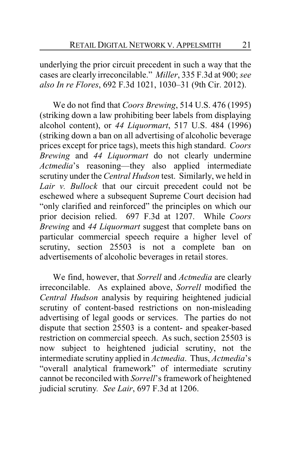underlying the prior circuit precedent in such a way that the cases are clearly irreconcilable." *Miller*, 335 F.3d at 900; *see also In re Flores*, 692 F.3d 1021, 1030–31 (9th Cir. 2012).

We do not find that *Coors Brewing*, 514 U.S. 476 (1995) (striking down a law prohibiting beer labels from displaying alcohol content), or *44 Liquormart*, 517 U.S. 484 (1996) (striking down a ban on all advertising of alcoholic beverage prices except for price tags), meets this high standard. *Coors Brewing* and *44 Liquormart* do not clearly undermine *Actmedia*'s reasoning—they also applied intermediate scrutiny under the *Central Hudson* test. Similarly, we held in *Lair v. Bullock* that our circuit precedent could not be eschewed where a subsequent Supreme Court decision had "only clarified and reinforced" the principles on which our prior decision relied. 697 F.3d at 1207. While *Coors Brewing* and *44 Liquormart* suggest that complete bans on particular commercial speech require a higher level of scrutiny, section 25503 is not a complete ban on advertisements of alcoholic beverages in retail stores.

We find, however, that *Sorrell* and *Actmedia* are clearly irreconcilable. As explained above, *Sorrell* modified the *Central Hudson* analysis by requiring heightened judicial scrutiny of content-based restrictions on non-misleading advertising of legal goods or services. The parties do not dispute that section 25503 is a content- and speaker-based restriction on commercial speech. As such, section 25503 is now subject to heightened judicial scrutiny, not the intermediate scrutiny applied in *Actmedia*. Thus, *Actmedia*'s "overall analytical framework" of intermediate scrutiny cannot be reconciled with *Sorrell*'s framework of heightened judicial scrutiny*. See Lair*, 697 F.3d at 1206.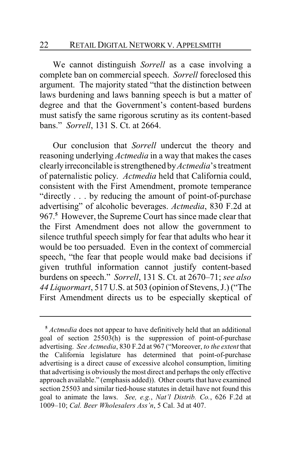#### 22 RETAIL DIGITAL NETWORK V. APPELSMITH

We cannot distinguish *Sorrell* as a case involving a complete ban on commercial speech. *Sorrell* foreclosed this argument. The majority stated "that the distinction between laws burdening and laws banning speech is but a matter of degree and that the Government's content-based burdens must satisfy the same rigorous scrutiny as its content-based bans." *Sorrell*, 131 S. Ct. at 2664.

Our conclusion that *Sorrell* undercut the theory and reasoning underlying *Actmedia* in a way that makes the cases clearlyirreconcilable is strengthened by*Actmedia*'s treatment of paternalistic policy. *Actmedia* held that California could, consistent with the First Amendment, promote temperance "directly . . . by reducing the amount of point-of-purchase advertising" of alcoholic beverages. *Actmedia*, 830 F.2d at 967.**<sup>5</sup>** However, the Supreme Court has since made clear that the First Amendment does not allow the government to silence truthful speech simply for fear that adults who hear it would be too persuaded. Even in the context of commercial speech, "the fear that people would make bad decisions if given truthful information cannot justify content-based burdens on speech." *Sorrell*, 131 S. Ct. at 2670–71; *see also 44 Liquormart*, 517 U.S. at 503 (opinion of Stevens, J.) ("The First Amendment directs us to be especially skeptical of

**<sup>5</sup>** *Actmedia* does not appear to have definitively held that an additional goal of section 25503(h) is the suppression of point-of-purchase advertising. *See Actmedia*, 830 F.2d at 967 ("Moreover, *to the extent* that the California legislature has determined that point-of-purchase advertising is a direct cause of excessive alcohol consumption, limiting that advertising is obviously the most direct and perhaps the only effective approach available." (emphasis added)). Other courts that have examined section 25503 and similar tied-house statutes in detail have not found this goal to animate the laws. *See, e.g.*, *Nat'l Distrib. Co.*, 626 F.2d at 1009–10; *Cal. Beer Wholesalers Ass'n*, 5 Cal. 3d at 407.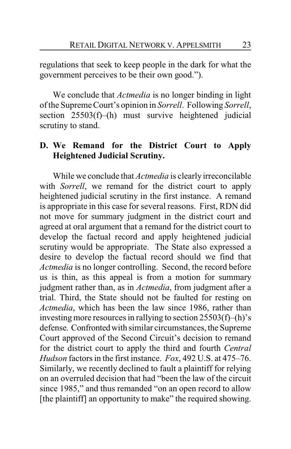regulations that seek to keep people in the dark for what the government perceives to be their own good.").

We conclude that *Actmedia* is no longer binding in light of the Supreme Court's opinion in *Sorrell*. Following *Sorrell*, section 25503(f)–(h) must survive heightened judicial scrutiny to stand.

## **D. We Remand for the District Court to Apply Heightened Judicial Scrutiny.**

While we conclude that *Actmedia* is clearly irreconcilable with *Sorrell*, we remand for the district court to apply heightened judicial scrutiny in the first instance. A remand is appropriate in this case for several reasons. First, RDN did not move for summary judgment in the district court and agreed at oral argument that a remand for the district court to develop the factual record and apply heightened judicial scrutiny would be appropriate. The State also expressed a desire to develop the factual record should we find that *Actmedia* is no longer controlling. Second, the record before us is thin, as this appeal is from a motion for summary judgment rather than, as in *Actmedia*, from judgment after a trial. Third, the State should not be faulted for resting on *Actmedia*, which has been the law since 1986, rather than investing more resources in rallying to section 25503(f)–(h)'s defense. Confrontedwith similar circumstances, the Supreme Court approved of the Second Circuit's decision to remand for the district court to apply the third and fourth *Central Hudson* factors in the first instance. *Fox*, 492 U.S. at 475–76. Similarly, we recently declined to fault a plaintiff for relying on an overruled decision that had "been the law of the circuit since 1985," and thus remanded "on an open record to allow [the plaintiff] an opportunity to make" the required showing.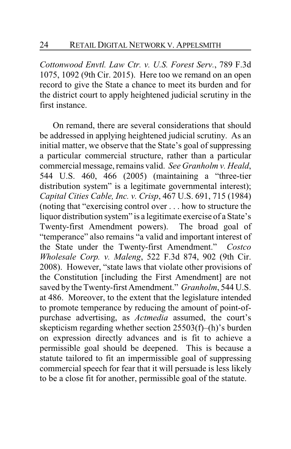*Cottonwood Envtl. Law Ctr. v. U.S. Forest Serv.*, 789 F.3d 1075, 1092 (9th Cir. 2015). Here too we remand on an open record to give the State a chance to meet its burden and for the district court to apply heightened judicial scrutiny in the first instance.

On remand, there are several considerations that should be addressed in applying heightened judicial scrutiny. As an initial matter, we observe that the State's goal of suppressing a particular commercial structure, rather than a particular commercial message, remains valid. *See Granholm v. Heald*, 544 U.S. 460, 466 (2005) (maintaining a "three-tier distribution system" is a legitimate governmental interest); *Capital Cities Cable, Inc. v. Crisp*, 467 U.S. 691, 715 (1984) (noting that "exercising control over . . . how to structure the liquor distribution system" is a legitimate exercise of a State's Twenty-first Amendment powers). The broad goal of "temperance" also remains "a valid and important interest of the State under the Twenty-first Amendment." *Costco Wholesale Corp. v. Maleng*, 522 F.3d 874, 902 (9th Cir. 2008). However, "state laws that violate other provisions of the Constitution [including the First Amendment] are not saved by the Twenty-first Amendment." *Granholm*, 544 U.S. at 486. Moreover, to the extent that the legislature intended to promote temperance by reducing the amount of point-ofpurchase advertising, as *Actmedia* assumed, the court's skepticism regarding whether section 25503(f)–(h)'s burden on expression directly advances and is fit to achieve a permissible goal should be deepened. This is because a statute tailored to fit an impermissible goal of suppressing commercial speech for fear that it will persuade is less likely to be a close fit for another, permissible goal of the statute.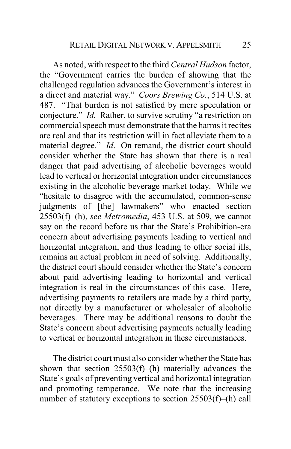As noted, with respect to the third *Central Hudson* factor, the "Government carries the burden of showing that the challenged regulation advances the Government's interest in a direct and material way." *Coors Brewing Co.*, 514 U.S. at 487. "That burden is not satisfied by mere speculation or conjecture." *Id.* Rather, to survive scrutiny "a restriction on commercial speech must demonstrate that the harms it recites are real and that its restriction will in fact alleviate them to a material degree." *Id*. On remand, the district court should consider whether the State has shown that there is a real danger that paid advertising of alcoholic beverages would lead to vertical or horizontal integration under circumstances existing in the alcoholic beverage market today. While we "hesitate to disagree with the accumulated, common-sense judgments of [the] lawmakers" who enacted section 25503(f)–(h), *see Metromedia*, 453 U.S. at 509, we cannot say on the record before us that the State's Prohibition-era concern about advertising payments leading to vertical and horizontal integration, and thus leading to other social ills, remains an actual problem in need of solving. Additionally, the district court should consider whether the State's concern about paid advertising leading to horizontal and vertical integration is real in the circumstances of this case. Here, advertising payments to retailers are made by a third party, not directly by a manufacturer or wholesaler of alcoholic beverages. There may be additional reasons to doubt the State's concern about advertising payments actually leading to vertical or horizontal integration in these circumstances.

The district court must also consider whether the State has shown that section 25503(f)–(h) materially advances the State's goals of preventing vertical and horizontal integration and promoting temperance. We note that the increasing number of statutory exceptions to section 25503(f)–(h) call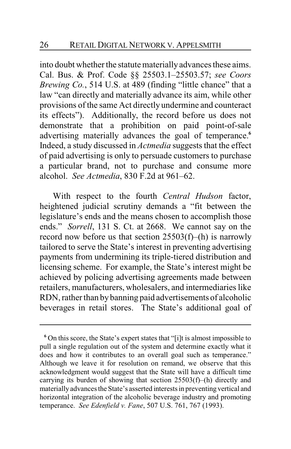into doubt whether the statute materially advances these aims. Cal. Bus. & Prof. Code §§ 25503.1–25503.57; *see Coors Brewing Co.*, 514 U.S. at 489 (finding "little chance" that a law "can directly and materially advance its aim, while other provisions of the same Act directly undermine and counteract its effects"). Additionally, the record before us does not demonstrate that a prohibition on paid point-of-sale advertising materially advances the goal of temperance.**<sup>6</sup>** Indeed, a study discussed in *Actmedia* suggests that the effect of paid advertising is only to persuade customers to purchase a particular brand, not to purchase and consume more alcohol. *See Actmedia*, 830 F.2d at 961–62.

With respect to the fourth *Central Hudson* factor, heightened judicial scrutiny demands a "fit between the legislature's ends and the means chosen to accomplish those ends." *Sorrell*, 131 S. Ct. at 2668. We cannot say on the record now before us that section 25503(f)–(h) is narrowly tailored to serve the State's interest in preventing advertising payments from undermining its triple-tiered distribution and licensing scheme. For example, the State's interest might be achieved by policing advertising agreements made between retailers, manufacturers, wholesalers, and intermediaries like RDN, rather than by banning paid advertisements of alcoholic beverages in retail stores. The State's additional goal of

**<sup>6</sup>** On this score, the State's expert states that "[i]t is almost impossible to pull a single regulation out of the system and determine exactly what it does and how it contributes to an overall goal such as temperance." Although we leave it for resolution on remand, we observe that this acknowledgment would suggest that the State will have a difficult time carrying its burden of showing that section 25503(f)–(h) directly and materially advances the State's asserted interests in preventing vertical and horizontal integration of the alcoholic beverage industry and promoting temperance. *See Edenfield v. Fane*, 507 U.S. 761, 767 (1993).